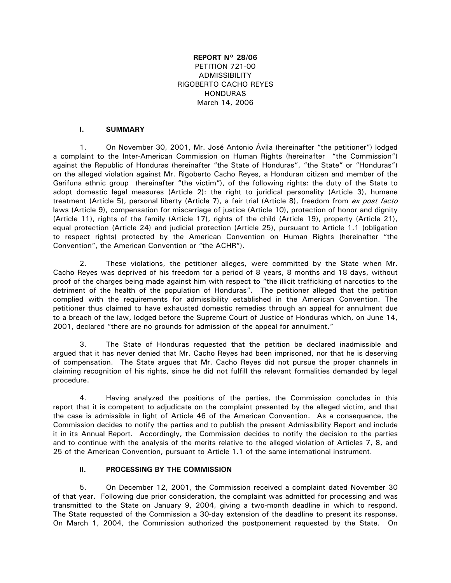# **REPORT N° 28/06** PETITION 721-00 ADMISSIBILITY RIGOBERTO CACHO REYES HONDURAS March 14, 2006

### **I. SUMMARY**

1. On November 30, 2001, Mr. José Antonio Ávila (hereinafter "the petitioner") lodged a complaint to the Inter-American Commission on Human Rights (hereinafter "the Commission") against the Republic of Honduras (hereinafter "the State of Honduras", "the State" or "Honduras") on the alleged violation against Mr. Rigoberto Cacho Reyes, a Honduran citizen and member of the Garifuna ethnic group (hereinafter "the victim"), of the following rights: the duty of the State to adopt domestic legal measures (Article 2): the right to juridical personality (Article 3), humane treatment (Article 5), personal liberty (Article 7), a fair trial (Article 8), freedom from ex post facto laws (Article 9), compensation for miscarriage of justice (Article 10), protection of honor and dignity (Article 11), rights of the family (Article 17), rights of the child (Article 19), property (Article 21), equal protection (Article 24) and judicial protection (Article 25), pursuant to Article 1.1 (obligation to respect rights) protected by the American Convention on Human Rights (hereinafter "the Convention", the American Convention or "the ACHR").

2. These violations, the petitioner alleges, were committed by the State when Mr. Cacho Reyes was deprived of his freedom for a period of 8 years, 8 months and 18 days, without proof of the charges being made against him with respect to "the illicit trafficking of narcotics to the detriment of the health of the population of Honduras". The petitioner alleged that the petition complied with the requirements for admissibility established in the American Convention. The petitioner thus claimed to have exhausted domestic remedies through an appeal for annulment due to a breach of the law, lodged before the Supreme Court of Justice of Honduras which, on June 14, 2001, declared "there are no grounds for admission of the appeal for annulment."

3. The State of Honduras requested that the petition be declared inadmissible and argued that it has never denied that Mr. Cacho Reyes had been imprisoned, nor that he is deserving of compensation. The State argues that Mr. Cacho Reyes did not pursue the proper channels in claiming recognition of his rights, since he did not fulfill the relevant formalities demanded by legal procedure.

4. Having analyzed the positions of the parties, the Commission concludes in this report that it is competent to adjudicate on the complaint presented by the alleged victim, and that the case is admissible in light of Article 46 of the American Convention. As a consequence, the Commission decides to notify the parties and to publish the present Admissibility Report and include it in its Annual Report. Accordingly, the Commission decides to notify the decision to the parties and to continue with the analysis of the merits relative to the alleged violation of Articles 7, 8, and 25 of the American Convention, pursuant to Article 1.1 of the same international instrument.

# **II. PROCESSING BY THE COMMISSION**

5. On December 12, 2001, the Commission received a complaint dated November 30 of that year. Following due prior consideration, the complaint was admitted for processing and was transmitted to the State on January 9, 2004, giving a two-month deadline in which to respond. The State requested of the Commission a 30-day extension of the deadline to present its response. On March 1, 2004, the Commission authorized the postponement requested by the State. On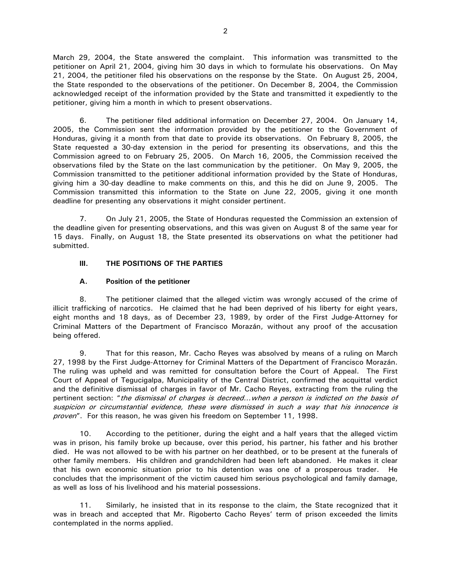March 29, 2004, the State answered the complaint. This information was transmitted to the petitioner on April 21, 2004, giving him 30 days in which to formulate his observations. On May 21, 2004, the petitioner filed his observations on the response by the State. On August 25, 2004, the State responded to the observations of the petitioner. On December 8, 2004, the Commission acknowledged receipt of the information provided by the State and transmitted it expediently to the petitioner, giving him a month in which to present observations.

6. The petitioner filed additional information on December 27, 2004. On January 14, 2005, the Commission sent the information provided by the petitioner to the Government of Honduras, giving it a month from that date to provide its observations. On February 8, 2005, the State requested a 30-day extension in the period for presenting its observations, and this the Commission agreed to on February 25, 2005. On March 16, 2005, the Commission received the observations filed by the State on the last communication by the petitioner. On May 9, 2005, the Commission transmitted to the petitioner additional information provided by the State of Honduras, giving him a 30-day deadline to make comments on this, and this he did on June 9, 2005. The Commission transmitted this information to the State on June 22, 2005, giving it one month deadline for presenting any observations it might consider pertinent.

7. On July 21, 2005, the State of Honduras requested the Commission an extension of the deadline given for presenting observations, and this was given on August 8 of the same year for 15 days. Finally, on August 18, the State presented its observations on what the petitioner had submitted.

# **III. THE POSITIONS OF THE PARTIES**

# **A. Position of the petitioner**

8. The petitioner claimed that the alleged victim was wrongly accused of the crime of illicit trafficking of narcotics. He claimed that he had been deprived of his liberty for eight years, eight months and 18 days, as of December 23, 1989, by order of the First Judge-Attorney for Criminal Matters of the Department of Francisco Morazán, without any proof of the accusation being offered.

9. That for this reason, Mr. Cacho Reyes was absolved by means of a ruling on March 27, 1998 by the First Judge-Attorney for Criminal Matters of the Department of Francisco Morazán. The ruling was upheld and was remitted for consultation before the Court of Appeal. The First Court of Appeal of Tegucigalpa, Municipality of the Central District, confirmed the acquittal verdict and the definitive dismissal of charges in favor of Mr. Cacho Reyes, extracting from the ruling the pertinent section: "the dismissal of charges is decreed…when a person is indicted on the basis of suspicion or circumstantial evidence, these were dismissed in such a way that his innocence is proven". For this reason, he was given his freedom on September 11, 1998.

10. According to the petitioner, during the eight and a half years that the alleged victim was in prison, his family broke up because, over this period, his partner, his father and his brother died. He was not allowed to be with his partner on her deathbed, or to be present at the funerals of other family members. His children and grandchildren had been left abandoned. He makes it clear that his own economic situation prior to his detention was one of a prosperous trader. He concludes that the imprisonment of the victim caused him serious psychological and family damage, as well as loss of his livelihood and his material possessions.

11. Similarly, he insisted that in its response to the claim, the State recognized that it was in breach and accepted that Mr. Rigoberto Cacho Reyes' term of prison exceeded the limits contemplated in the norms applied.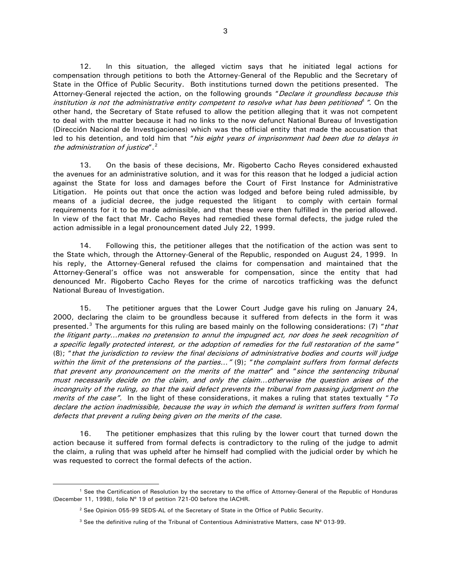12. In this situation, the alleged victim says that he initiated legal actions for compensation through petitions to both the Attorney-General of the Republic and the Secretary of State in the Office of Public Security. Both institutions turned down the petitions presented. The Attorney-General rejected the action, on the following grounds "Declare it groundless because this institution is not the administrative entity competent to resolve what has been petitioned<sup>[1](#page-2-0)</sup>". On the other hand, the Secretary of State refused to allow the petition alleging that it was not competent to deal with the matter because it had no links to the now defunct National Bureau of Investigation (Dirección Nacional de Investigaciones) which was the official entity that made the accusation that led to his detention, and told him that "his eight years of imprisonment had been due to delays in the administration of justice".<sup>[2](#page-2-1)</sup>

13. On the basis of these decisions, Mr. Rigoberto Cacho Reyes considered exhausted the avenues for an administrative solution, and it was for this reason that he lodged a judicial action against the State for loss and damages before the Court of First Instance for Administrative Litigation. He points out that once the action was lodged and before being ruled admissible, by means of a judicial decree, the judge requested the litigant to comply with certain formal requirements for it to be made admissible, and that these were then fulfilled in the period allowed. In view of the fact that Mr. Cacho Reyes had remedied these formal defects, the judge ruled the action admissible in a legal pronouncement dated July 22, 1999.

14. Following this, the petitioner alleges that the notification of the action was sent to the State which, through the Attorney-General of the Republic, responded on August 24, 1999. In his reply, the Attorney-General refused the claims for compensation and maintained that the Attorney-General's office was not answerable for compensation, since the entity that had denounced Mr. Rigoberto Cacho Reyes for the crime of narcotics trafficking was the defunct National Bureau of Investigation.

15. The petitioner argues that the Lower Court Judge gave his ruling on January 24, 2000, declaring the claim to be groundless because it suffered from defects in the form it was presented.<sup>[3](#page-2-2)</sup> The arguments for this ruling are based mainly on the following considerations: (7) "that the litigant party…makes no pretension to annul the impugned act, nor does he seek recognition of a specific legally protected interest, or the adoption of remedies for the full restoration of the same" (8); "that the jurisdiction to review the final decisions of administrative bodies and courts will judge within the limit of the pretensions of the parties…" (9); "the complaint suffers from formal defects that prevent any pronouncement on the merits of the matter" and "since the sentencing tribunal must necessarily decide on the claim, and only the claim…otherwise the question arises of the incongruity of the ruling, so that the said defect prevents the tribunal from passing judgment on the *merits of the case".* In the light of these considerations, it makes a ruling that states textually " $To$ declare the action inadmissible, because the way in which the demand is written suffers from formal defects that prevent a ruling being given on the merits of the case.

16. The petitioner emphasizes that this ruling by the lower court that turned down the action because it suffered from formal defects is contradictory to the ruling of the judge to admit the claim, a ruling that was upheld after he himself had complied with the judicial order by which he was requested to correct the formal defects of the action.

 $\overline{a}$ 

<span id="page-2-2"></span><span id="page-2-1"></span><span id="page-2-0"></span><sup>1</sup> See the Certification of Resolution by the secretary to the office of Attorney-General of the Republic of Honduras (December 11, 1998), folio Nº 19 of petition 721-00 before the IACHR.

<sup>2</sup> See Opinion 055-99 SEDS-AL of the Secretary of State in the Office of Public Security.

 $3$  See the definitive ruling of the Tribunal of Contentious Administrative Matters, case Nº 013-99.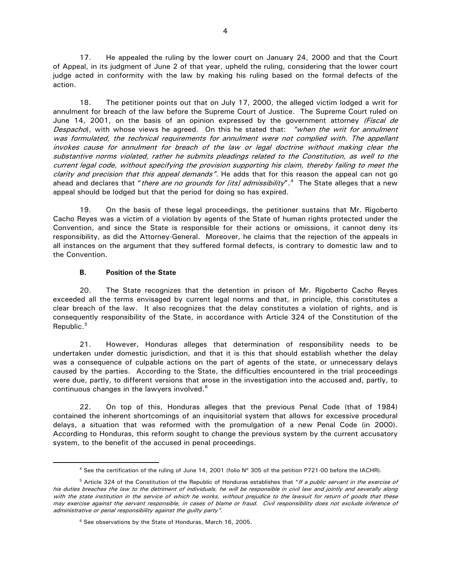17. He appealed the ruling by the lower court on January 24, 2000 and that the Court of Appeal, in its judgment of June 2 of that year, upheld the ruling, considering that the lower court judge acted in conformity with the law by making his ruling based on the formal defects of the action.

18. The petitioner points out that on July 17, 2000, the alleged victim lodged a writ for annulment for breach of the law before the Supreme Court of Justice. The Supreme Court ruled on June 14, 2001, on the basis of an opinion expressed by the government attorney (Fiscal de Despacho), with whose views he agreed. On this he stated that: "when the writ for annulment was formulated, the technical requirements for annulment were not complied with. The appellant invokes cause for annulment for breach of the law or legal doctrine without making clear the substantive norms violated, rather he submits pleadings related to the Constitution, as well to the current legal code, without specifying the provision supporting his claim, thereby failing to meet the clarity and precision that this appeal demands". He adds that for this reason the appeal can not go ahead and declares that "*there are no grounds for [its] admissibility*".<sup>[4](#page-3-0)</sup> The State alleges that a new appeal should be lodged but that the period for doing so has expired.

19. On the basis of these legal proceedings, the petitioner sustains that Mr. Rigoberto Cacho Reyes was a victim of a violation by agents of the State of human rights protected under the Convention, and since the State is responsible for their actions or omissions, it cannot deny its responsibility, as did the Attorney-General. Moreover, he claims that the rejection of the appeals in all instances on the argument that they suffered formal defects, is contrary to domestic law and to the Convention.

### **B. Position of the State**

 $\overline{a}$ 

20. The State recognizes that the detention in prison of Mr. Rigoberto Cacho Reyes exceeded all the terms envisaged by current legal norms and that, in principle, this constitutes a clear breach of the law. It also recognizes that the delay constitutes a violation of rights, and is consequently responsibility of the State, in accordance with Article 324 of the Constitution of the Republic.<sup>[5](#page-3-1)</sup>

21. However, Honduras alleges that determination of responsibility needs to be undertaken under domestic jurisdiction, and that it is this that should establish whether the delay was a consequence of culpable actions on the part of agents of the state, or unnecessary delays caused by the parties. According to the State, the difficulties encountered in the trial proceedings were due, partly, to different versions that arose in the investigation into the accused and, partly, to continuous changes in the lawyers involved.<sup>[6](#page-3-2)</sup>

22. On top of this, Honduras alleges that the previous Penal Code (that of 1984) contained the inherent shortcomings of an inquisitorial system that allows for excessive procedural delays, a situation that was reformed with the promulgation of a new Penal Code (in 2000). According to Honduras, this reform sought to change the previous system by the current accusatory system, to the benefit of the accused in penal proceedings.

<sup>4</sup> See the certification of the ruling of June 14, 2001 (folio Nº 305 of the petition P721-00 before the IACHR).

<span id="page-3-2"></span><span id="page-3-1"></span><span id="page-3-0"></span> $5$  Article 324 of the Constitution of the Republic of Honduras establishes that "If a public servant in the exercise of his duties breaches the law to the detriment of individuals, he will be responsible in civil law and jointly and severally along with the state institution in the service of which he works, without prejudice to the lawsuit for return of goods that these may exercise against the servant responsible, in cases of blame or fraud. Civil responsibility does not exclude inference of administrative or penal responsibility against the guilty party".

<sup>6</sup> See observations by the State of Honduras, March 16, 2005.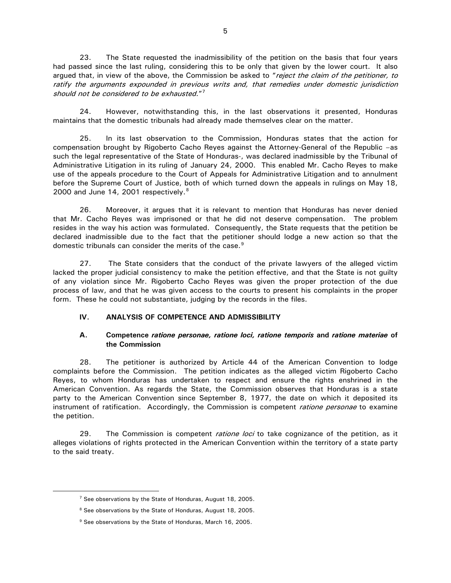23. The State requested the inadmissibility of the petition on the basis that four years had passed since the last ruling, considering this to be only that given by the lower court. It also argued that, in view of the above, the Commission be asked to "reject the claim of the petitioner, to ratify the arguments expounded in previous writs and, that remedies under domestic jurisdiction should not be considered to be exhausted."<sup>[7](#page-4-0)</sup>

24. However, notwithstanding this, in the last observations it presented, Honduras maintains that the domestic tribunals had already made themselves clear on the matter.

25. In its last observation to the Commission, Honduras states that the action for compensation brought by Rigoberto Cacho Reyes against the Attorney-General of the Republic –as such the legal representative of the State of Honduras-, was declared inadmissible by the Tribunal of Administrative Litigation in its ruling of January 24, 2000. This enabled Mr. Cacho Reyes to make use of the appeals procedure to the Court of Appeals for Administrative Litigation and to annulment before the Supreme Court of Justice, both of which turned down the appeals in rulings on May 18, 2000 and June 14, 2001 respectively.<sup>[8](#page-4-1)</sup>

26. Moreover, it argues that it is relevant to mention that Honduras has never denied that Mr. Cacho Reyes was imprisoned or that he did not deserve compensation. The problem resides in the way his action was formulated. Consequently, the State requests that the petition be declared inadmissible due to the fact that the petitioner should lodge a new action so that the domestic tribunals can consider the merits of the case.<sup>[9](#page-4-2)</sup>

27. The State considers that the conduct of the private lawyers of the alleged victim lacked the proper judicial consistency to make the petition effective, and that the State is not guilty of any violation since Mr. Rigoberto Cacho Reyes was given the proper protection of the due process of law, and that he was given access to the courts to present his complaints in the proper form. These he could not substantiate, judging by the records in the files.

### **IV. ANALYSIS OF COMPETENCE AND ADMISSIBILITY**

### **A. Competence** *ratione personae, ratione loci, ratione temporis* **and** *ratione materiae* **of the Commission**

28. The petitioner is authorized by Article 44 of the American Convention to lodge complaints before the Commission. The petition indicates as the alleged victim Rigoberto Cacho Reyes, to whom Honduras has undertaken to respect and ensure the rights enshrined in the American Convention. As regards the State, the Commission observes that Honduras is a state party to the American Convention since September 8, 1977, the date on which it deposited its instrument of ratification. Accordingly, the Commission is competent *ratione personae* to examine the petition.

29. The Commission is competent *ratione loci* to take cognizance of the petition, as it alleges violations of rights protected in the American Convention within the territory of a state party to the said treaty.

<span id="page-4-2"></span><span id="page-4-1"></span><span id="page-4-0"></span> $\overline{a}$ 

<sup>&</sup>lt;sup>7</sup> See observations by the State of Honduras, August 18, 2005.

<sup>8</sup> See observations by the State of Honduras, August 18, 2005.

<sup>9</sup> See observations by the State of Honduras, March 16, 2005.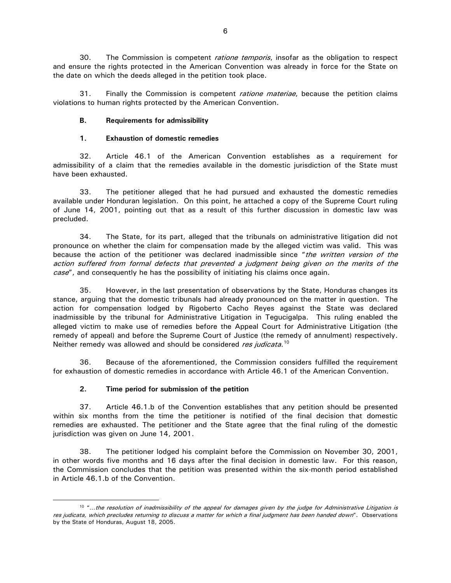30. The Commission is competent *ratione temporis*, insofar as the obligation to respect and ensure the rights protected in the American Convention was already in force for the State on the date on which the deeds alleged in the petition took place.

31. Finally the Commission is competent *ratione materiae*, because the petition claims violations to human rights protected by the American Convention.

### **B. Requirements for admissibility**

### **1. Exhaustion of domestic remedies**

32. Article 46.1 of the American Convention establishes as a requirement for admissibility of a claim that the remedies available in the domestic jurisdiction of the State must have been exhausted.

33. The petitioner alleged that he had pursued and exhausted the domestic remedies available under Honduran legislation. On this point, he attached a copy of the Supreme Court ruling of June 14, 2001, pointing out that as a result of this further discussion in domestic law was precluded.

34. The State, for its part, alleged that the tribunals on administrative litigation did not pronounce on whether the claim for compensation made by the alleged victim was valid. This was because the action of the petitioner was declared inadmissible since "the written version of the action suffered from formal defects that prevented a judgment being given on the merits of the case", and consequently he has the possibility of initiating his claims once again.

35. However, in the last presentation of observations by the State, Honduras changes its stance, arguing that the domestic tribunals had already pronounced on the matter in question. The action for compensation lodged by Rigoberto Cacho Reyes against the State was declared inadmissible by the tribunal for Administrative Litigation in Tegucigalpa. This ruling enabled the alleged victim to make use of remedies before the Appeal Court for Administrative Litigation (the remedy of appeal) and before the Supreme Court of Justice (the remedy of annulment) respectively. Neither remedy was allowed and should be considered res judicata.<sup>[10](#page-5-0)</sup>

36. Because of the aforementioned, the Commission considers fulfilled the requirement for exhaustion of domestic remedies in accordance with Article 46.1 of the American Convention.

### **2. Time period for submission of the petition**

 $\overline{a}$ 

37. Article 46.1.b of the Convention establishes that any petition should be presented within six months from the time the petitioner is notified of the final decision that domestic remedies are exhausted. The petitioner and the State agree that the final ruling of the domestic jurisdiction was given on June 14, 2001.

38. The petitioner lodged his complaint before the Commission on November 30, 2001, in other words five months and 16 days after the final decision in domestic law. For this reason, the Commission concludes that the petition was presented within the six-month period established in Article 46.1.b of the Convention.

<span id="page-5-0"></span> $10$  "...the resolution of inadmissibility of the appeal for damages given by the judge for Administrative Litigation is res judicata, which precludes returning to discuss a matter for which a final judgment has been handed down". Observations by the State of Honduras, August 18, 2005.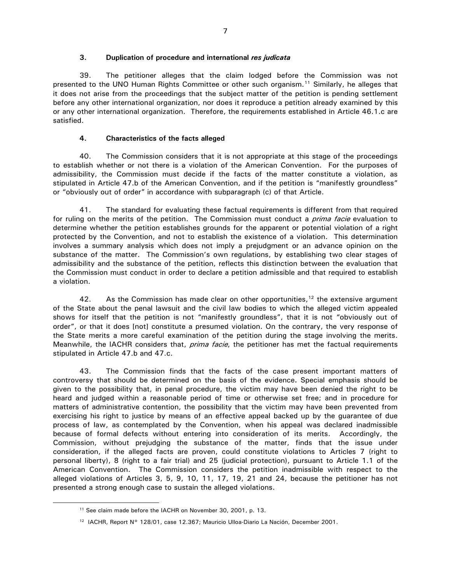### **3. Duplication of procedure and international** *res judicata*

39. The petitioner alleges that the claim lodged before the Commission was not presented to the UNO Human Rights Committee or other such organism.[11](#page-6-0) Similarly, he alleges that it does not arise from the proceedings that the subject matter of the petition is pending settlement before any other international organization, nor does it reproduce a petition already examined by this or any other international organization. Therefore, the requirements established in Article 46.1.c are satisfied.

# **4. Characteristics of the facts alleged**

40. The Commission considers that it is not appropriate at this stage of the proceedings to establish whether or not there is a violation of the American Convention. For the purposes of admissibility, the Commission must decide if the facts of the matter constitute a violation, as stipulated in Article 47.b of the American Convention, and if the petition is "manifestly groundless" or "obviously out of order" in accordance with subparagraph (c) of that Article.

41. The standard for evaluating these factual requirements is different from that required for ruling on the merits of the petition. The Commission must conduct a *prima facie* evaluation to determine whether the petition establishes grounds for the apparent or potential violation of a right protected by the Convention, and not to establish the existence of a violation. This determination involves a summary analysis which does not imply a prejudgment or an advance opinion on the substance of the matter. The Commission's own regulations, by establishing two clear stages of admissibility and the substance of the petition, reflects this distinction between the evaluation that the Commission must conduct in order to declare a petition admissible and that required to establish a violation.

42. As the Commission has made clear on other opportunities,<sup>[12](#page-6-1)</sup> the extensive argument of the State about the penal lawsuit and the civil law bodies to which the alleged victim appealed shows for itself that the petition is not "manifestly groundless", that it is not "obviously out of order", or that it does [not] constitute a presumed violation. On the contrary, the very response of the State merits a more careful examination of the petition during the stage involving the merits. Meanwhile, the IACHR considers that, *prima facie*, the petitioner has met the factual requirements stipulated in Article 47.b and 47.c.

43. The Commission finds that the facts of the case present important matters of controversy that should be determined on the basis of the evidence**.** Special emphasis should be given to the possibility that, in penal procedure, the victim may have been denied the right to be heard and judged within a reasonable period of time or otherwise set free; and in procedure for matters of administrative contention, the possibility that the victim may have been prevented from exercising his right to justice by means of an effective appeal backed up by the guarantee of due process of law, as contemplated by the Convention, when his appeal was declared inadmissible because of formal defects without entering into consideration of its merits. Accordingly, the Commission, without prejudging the substance of the matter, finds that the issue under consideration, if the alleged facts are proven, could constitute violations to Articles 7 (right to personal liberty), 8 (right to a fair trial) and 25 (judicial protection), pursuant to Article 1.1 of the American Convention. The Commission considers the petition inadmissible with respect to the alleged violations of Articles 3, 5, 9, 10, 11, 17, 19, 21 and 24, because the petitioner has not presented a strong enough case to sustain the alleged violations.

<span id="page-6-1"></span><span id="page-6-0"></span> $\overline{a}$ 

<sup>&</sup>lt;sup>11</sup> See claim made before the IACHR on November 30, 2001, p. 13.

<sup>12</sup> IACHR, Report N° 128/01, case 12.367; Mauricio Ulloa-Diario La Nación, December 2001.